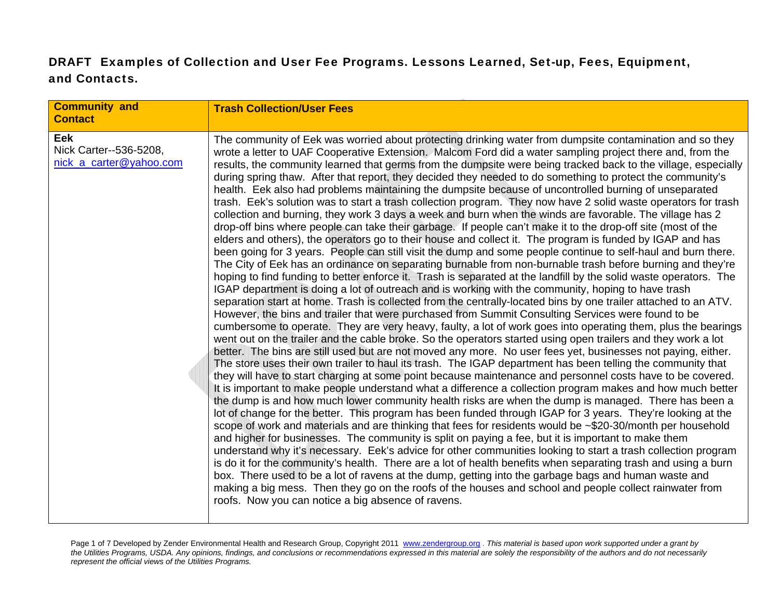## DRAFT Examples of Collection and User Fee Programs. Lessons Learned, Set-up, Fees, Equipment, and Contacts.

| <b>Community and</b><br><b>Contact</b>                   | <b>Trash Collection/User Fees</b>                                                                                                                                                                                                                                                                                                                                                                                                                                                                                                                                                                                                                                                                                                                                                                                                                                                                                                                                                                                                                                                                                                                                                                                                                                                                                                                                                                                                                                                                                                                                                                                                                                                                                                                                                                                                                                                                                                                                                                                                                                                                                                                                                                                                                                                                                                                                                                                                                                                                                                                                                                                                                                                                                                                                                                                                                                                                                                                                                                                                                                                                                                                                                                                                                                                                                                                                 |
|----------------------------------------------------------|-------------------------------------------------------------------------------------------------------------------------------------------------------------------------------------------------------------------------------------------------------------------------------------------------------------------------------------------------------------------------------------------------------------------------------------------------------------------------------------------------------------------------------------------------------------------------------------------------------------------------------------------------------------------------------------------------------------------------------------------------------------------------------------------------------------------------------------------------------------------------------------------------------------------------------------------------------------------------------------------------------------------------------------------------------------------------------------------------------------------------------------------------------------------------------------------------------------------------------------------------------------------------------------------------------------------------------------------------------------------------------------------------------------------------------------------------------------------------------------------------------------------------------------------------------------------------------------------------------------------------------------------------------------------------------------------------------------------------------------------------------------------------------------------------------------------------------------------------------------------------------------------------------------------------------------------------------------------------------------------------------------------------------------------------------------------------------------------------------------------------------------------------------------------------------------------------------------------------------------------------------------------------------------------------------------------------------------------------------------------------------------------------------------------------------------------------------------------------------------------------------------------------------------------------------------------------------------------------------------------------------------------------------------------------------------------------------------------------------------------------------------------------------------------------------------------------------------------------------------------------------------------------------------------------------------------------------------------------------------------------------------------------------------------------------------------------------------------------------------------------------------------------------------------------------------------------------------------------------------------------------------------------------------------------------------------------------------------------------------------|
| Eek<br>Nick Carter--536-5208,<br>nick a carter@yahoo.com | The community of Eek was worried about protecting drinking water from dumpsite contamination and so they<br>wrote a letter to UAF Cooperative Extension. Malcom Ford did a water sampling project there and, from the<br>results, the community learned that germs from the dumpsite were being tracked back to the village, especially<br>during spring thaw. After that report, they decided they needed to do something to protect the community's<br>health. Eek also had problems maintaining the dumpsite because of uncontrolled burning of unseparated<br>trash. Eek's solution was to start a trash collection program. They now have 2 solid waste operators for trash<br>collection and burning, they work 3 days a week and burn when the winds are favorable. The village has 2<br>drop-off bins where people can take their garbage. If people can't make it to the drop-off site (most of the<br>elders and others), the operators go to their house and collect it. The program is funded by IGAP and has<br>been going for 3 years. People can still visit the dump and some people continue to self-haul and burn there.<br>The City of Eek has an ordinance on separating burnable from non-burnable trash before burning and they're<br>hoping to find funding to better enforce it. Trash is separated at the landfill by the solid waste operators. The<br>IGAP department is doing a lot of outreach and is working with the community, hoping to have trash<br>separation start at home. Trash is collected from the centrally-located bins by one trailer attached to an ATV.<br>However, the bins and trailer that were purchased from Summit Consulting Services were found to be<br>cumbersome to operate. They are very heavy, faulty, a lot of work goes into operating them, plus the bearings<br>went out on the trailer and the cable broke. So the operators started using open trailers and they work a lot<br>better. The bins are still used but are not moved any more. No user fees yet, businesses not paying, either.<br>The store uses their own trailer to haul its trash. The IGAP department has been telling the community that<br>they will have to start charging at some point because maintenance and personnel costs have to be covered.<br>It is important to make people understand what a difference a collection program makes and how much better<br>the dump is and how much lower community health risks are when the dump is managed. There has been a<br>lot of change for the better. This program has been funded through IGAP for 3 years. They're looking at the<br>scope of work and materials and are thinking that fees for residents would be ~\$20-30/month per household<br>and higher for businesses. The community is split on paying a fee, but it is important to make them<br>understand why it's necessary. Eek's advice for other communities looking to start a trash collection program<br>is do it for the community's health. There are a lot of health benefits when separating trash and using a burn<br>box. There used to be a lot of ravens at the dump, getting into the garbage bags and human waste and<br>making a big mess. Then they go on the roofs of the houses and school and people collect rainwater from<br>roofs. Now you can notice a big absence of ravens. |

Page 1 of 7 Developed by Zender Environmental Health and Research Group, Copyright 2011 www.zendergroup.org . *This material is based upon work supported under a grant by the Utilities Programs, USDA. Any opinions, findings, and conclusions or recommendations expressed in this material are solely the responsibility of the authors and do not necessarily represent the official views of the Utilities Programs.*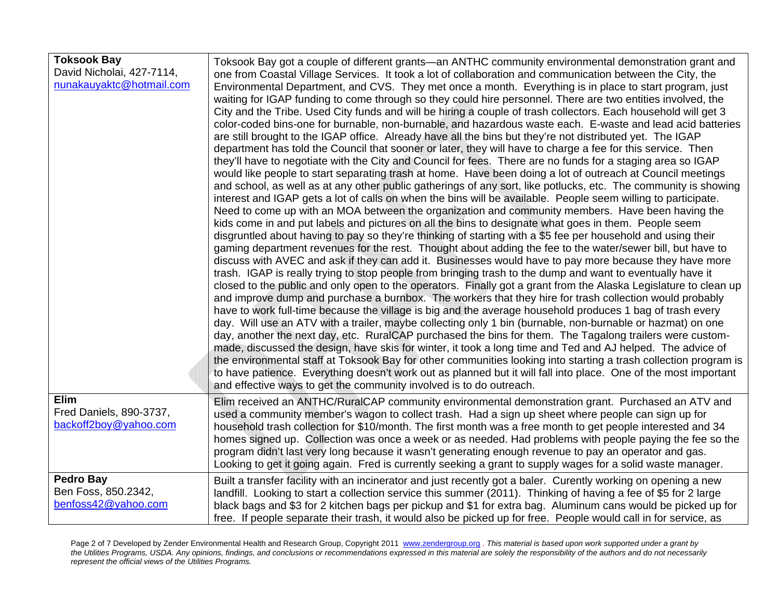| <b>Toksook Bay</b><br>David Nicholai, 427-7114,<br>nunakauyaktc@hotmail.com | Toksook Bay got a couple of different grants—an ANTHC community environmental demonstration grant and<br>one from Coastal Village Services. It took a lot of collaboration and communication between the City, the<br>Environmental Department, and CVS. They met once a month. Everything is in place to start program, just<br>waiting for IGAP funding to come through so they could hire personnel. There are two entities involved, the<br>City and the Tribe. Used City funds and will be hiring a couple of trash collectors. Each household will get 3<br>color-coded bins-one for burnable, non-burnable, and hazardous waste each. E-waste and lead acid batteries<br>are still brought to the IGAP office. Already have all the bins but they're not distributed yet. The IGAP<br>department has told the Council that sooner or later, they will have to charge a fee for this service. Then<br>they'll have to negotiate with the City and Council for fees. There are no funds for a staging area so IGAP<br>would like people to start separating trash at home. Have been doing a lot of outreach at Council meetings<br>and school, as well as at any other public gatherings of any sort, like potlucks, etc. The community is showing<br>interest and IGAP gets a lot of calls on when the bins will be available. People seem willing to participate.<br>Need to come up with an MOA between the organization and community members. Have been having the<br>kids come in and put labels and pictures on all the bins to designate what goes in them. People seem<br>disgruntled about having to pay so they're thinking of starting with a \$5 fee per household and using their<br>gaming department revenues for the rest. Thought about adding the fee to the water/sewer bill, but have to<br>discuss with AVEC and ask if they can add it. Businesses would have to pay more because they have more<br>trash. IGAP is really trying to stop people from bringing trash to the dump and want to eventually have it<br>closed to the public and only open to the operators. Finally got a grant from the Alaska Legislature to clean up<br>and improve dump and purchase a burnbox. The workers that they hire for trash collection would probably<br>have to work full-time because the village is big and the average household produces 1 bag of trash every<br>day. Will use an ATV with a trailer, maybe collecting only 1 bin (burnable, non-burnable or hazmat) on one<br>day, another the next day, etc. RuralCAP purchased the bins for them. The Tagalong trailers were custom-<br>made, discussed the design, have skis for winter, it took a long time and Ted and AJ helped. The advice of<br>the environmental staff at Toksook Bay for other communities looking into starting a trash collection program is<br>to have patience. Everything doesn't work out as planned but it will fall into place. One of the most important<br>and effective ways to get the community involved is to do outreach. |
|-----------------------------------------------------------------------------|-----------------------------------------------------------------------------------------------------------------------------------------------------------------------------------------------------------------------------------------------------------------------------------------------------------------------------------------------------------------------------------------------------------------------------------------------------------------------------------------------------------------------------------------------------------------------------------------------------------------------------------------------------------------------------------------------------------------------------------------------------------------------------------------------------------------------------------------------------------------------------------------------------------------------------------------------------------------------------------------------------------------------------------------------------------------------------------------------------------------------------------------------------------------------------------------------------------------------------------------------------------------------------------------------------------------------------------------------------------------------------------------------------------------------------------------------------------------------------------------------------------------------------------------------------------------------------------------------------------------------------------------------------------------------------------------------------------------------------------------------------------------------------------------------------------------------------------------------------------------------------------------------------------------------------------------------------------------------------------------------------------------------------------------------------------------------------------------------------------------------------------------------------------------------------------------------------------------------------------------------------------------------------------------------------------------------------------------------------------------------------------------------------------------------------------------------------------------------------------------------------------------------------------------------------------------------------------------------------------------------------------------------------------------------------------------------------------------------------------------------------------------------------------------------------------------------------------------------------------------------------------------------------------------------------------------------------------------------------------------------------------------------------------------------|
| Elim<br>Fred Daniels, 890-3737,<br>backoff2boy@yahoo.com                    | Elim received an ANTHC/RuralCAP community environmental demonstration grant. Purchased an ATV and<br>used a community member's wagon to collect trash. Had a sign up sheet where people can sign up for<br>household trash collection for \$10/month. The first month was a free month to get people interested and 34<br>homes signed up. Collection was once a week or as needed. Had problems with people paying the fee so the<br>program didn't last very long because it wasn't generating enough revenue to pay an operator and gas.<br>Looking to get it going again. Fred is currently seeking a grant to supply wages for a solid waste manager.                                                                                                                                                                                                                                                                                                                                                                                                                                                                                                                                                                                                                                                                                                                                                                                                                                                                                                                                                                                                                                                                                                                                                                                                                                                                                                                                                                                                                                                                                                                                                                                                                                                                                                                                                                                                                                                                                                                                                                                                                                                                                                                                                                                                                                                                                                                                                                                    |
| <b>Pedro Bay</b><br>Ben Foss, 850.2342,<br>benfoss42@yahoo.com              | Built a transfer facility with an incinerator and just recently got a baler. Curently working on opening a new<br>landfill. Looking to start a collection service this summer (2011). Thinking of having a fee of \$5 for 2 large<br>black bags and \$3 for 2 kitchen bags per pickup and \$1 for extra bag. Aluminum cans would be picked up for<br>free. If people separate their trash, it would also be picked up for free. People would call in for service, as                                                                                                                                                                                                                                                                                                                                                                                                                                                                                                                                                                                                                                                                                                                                                                                                                                                                                                                                                                                                                                                                                                                                                                                                                                                                                                                                                                                                                                                                                                                                                                                                                                                                                                                                                                                                                                                                                                                                                                                                                                                                                                                                                                                                                                                                                                                                                                                                                                                                                                                                                                          |

Page 2 of 7 Developed by Zender Environmental Health and Research Group, Copyright 2011 www.zendergroup.org . *This material is based upon work supported under a grant by the Utilities Programs, USDA. Any opinions, findings, and conclusions or recommendations expressed in this material are solely the responsibility of the authors and do not necessarily represent the official views of the Utilities Programs.*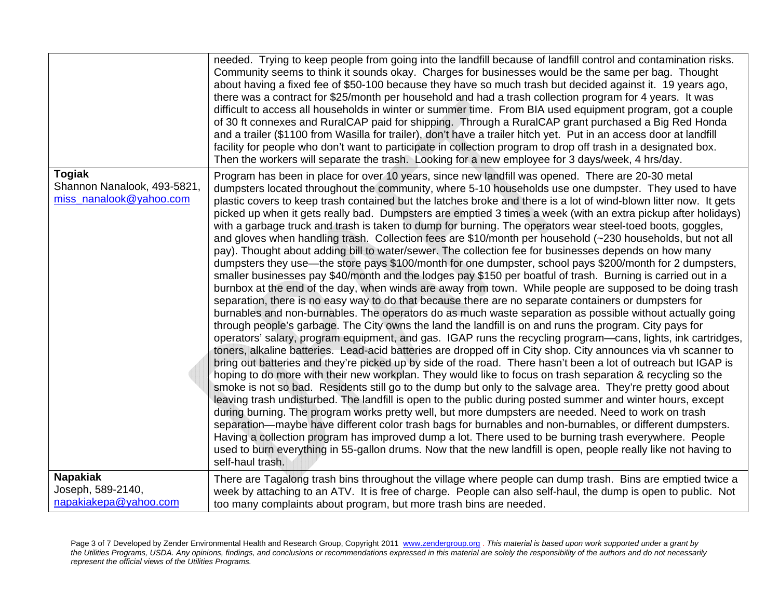|                                                                         | needed. Trying to keep people from going into the landfill because of landfill control and contamination risks.<br>Community seems to think it sounds okay. Charges for businesses would be the same per bag. Thought<br>about having a fixed fee of \$50-100 because they have so much trash but decided against it. 19 years ago,<br>there was a contract for \$25/month per household and had a trash collection program for 4 years. It was<br>difficult to access all households in winter or summer time. From BIA used equipment program, got a couple<br>of 30 ft connexes and RuralCAP paid for shipping. Through a RuralCAP grant purchased a Big Red Honda<br>and a trailer (\$1100 from Wasilla for trailer), don't have a trailer hitch yet. Put in an access door at landfill<br>facility for people who don't want to participate in collection program to drop off trash in a designated box.<br>Then the workers will separate the trash. Looking for a new employee for 3 days/week, 4 hrs/day.                                                                                                                                                                                                                                                                                                                                                                                                                                                                                                                                                                                                                                                                                                                                                                                                                                                                                                                                                                                                                                                                                                                                                                                                                                                                                                                                                                                                                                                                                                                                                                                                                    |
|-------------------------------------------------------------------------|--------------------------------------------------------------------------------------------------------------------------------------------------------------------------------------------------------------------------------------------------------------------------------------------------------------------------------------------------------------------------------------------------------------------------------------------------------------------------------------------------------------------------------------------------------------------------------------------------------------------------------------------------------------------------------------------------------------------------------------------------------------------------------------------------------------------------------------------------------------------------------------------------------------------------------------------------------------------------------------------------------------------------------------------------------------------------------------------------------------------------------------------------------------------------------------------------------------------------------------------------------------------------------------------------------------------------------------------------------------------------------------------------------------------------------------------------------------------------------------------------------------------------------------------------------------------------------------------------------------------------------------------------------------------------------------------------------------------------------------------------------------------------------------------------------------------------------------------------------------------------------------------------------------------------------------------------------------------------------------------------------------------------------------------------------------------------------------------------------------------------------------------------------------------------------------------------------------------------------------------------------------------------------------------------------------------------------------------------------------------------------------------------------------------------------------------------------------------------------------------------------------------------------------------------------------------------------------------------------------------------------------|
| <b>Togiak</b><br>Shannon Nanalook, 493-5821,<br>miss_nanalook@yahoo.com | Program has been in place for over 10 years, since new landfill was opened. There are 20-30 metal<br>dumpsters located throughout the community, where 5-10 households use one dumpster. They used to have<br>plastic covers to keep trash contained but the latches broke and there is a lot of wind-blown litter now. It gets<br>picked up when it gets really bad. Dumpsters are emptied 3 times a week (with an extra pickup after holidays)<br>with a garbage truck and trash is taken to dump for burning. The operators wear steel-toed boots, goggles,<br>and gloves when handling trash. Collection fees are \$10/month per household (~230 households, but not all<br>pay). Thought about adding bill to water/sewer. The collection fee for businesses depends on how many<br>dumpsters they use—the store pays \$100/month for one dumpster, school pays \$200/month for 2 dumpsters,<br>smaller businesses pay \$40/month and the lodges pay \$150 per boatful of trash. Burning is carried out in a<br>burnbox at the end of the day, when winds are away from town. While people are supposed to be doing trash<br>separation, there is no easy way to do that because there are no separate containers or dumpsters for<br>burnables and non-burnables. The operators do as much waste separation as possible without actually going<br>through people's garbage. The City owns the land the landfill is on and runs the program. City pays for<br>operators' salary, program equipment, and gas. IGAP runs the recycling program—cans, lights, ink cartridges,<br>toners, alkaline batteries. Lead-acid batteries are dropped off in City shop. City announces via vh scanner to<br>bring out batteries and they're picked up by side of the road. There hasn't been a lot of outreach but IGAP is<br>hoping to do more with their new workplan. They would like to focus on trash separation & recycling so the<br>smoke is not so bad. Residents still go to the dump but only to the salvage area. They're pretty good about<br>leaving trash undisturbed. The landfill is open to the public during posted summer and winter hours, except<br>during burning. The program works pretty well, but more dumpsters are needed. Need to work on trash<br>separation—maybe have different color trash bags for burnables and non-burnables, or different dumpsters.<br>Having a collection program has improved dump a lot. There used to be burning trash everywhere. People<br>used to burn everything in 55-gallon drums. Now that the new landfill is open, people really like not having to<br>self-haul trash. |
| <b>Napakiak</b><br>Joseph, 589-2140,<br>napakiakepa@yahoo.com           | There are Tagalong trash bins throughout the village where people can dump trash. Bins are emptied twice a<br>week by attaching to an ATV. It is free of charge. People can also self-haul, the dump is open to public. Not<br>too many complaints about program, but more trash bins are needed.                                                                                                                                                                                                                                                                                                                                                                                                                                                                                                                                                                                                                                                                                                                                                                                                                                                                                                                                                                                                                                                                                                                                                                                                                                                                                                                                                                                                                                                                                                                                                                                                                                                                                                                                                                                                                                                                                                                                                                                                                                                                                                                                                                                                                                                                                                                                    |

Page 3 of 7 Developed by Zender Environmental Health and Research Group, Copyright 2011 www.zendergroup.org . *This material is based upon work supported under a grant by the Utilities Programs, USDA. Any opinions, findings, and conclusions or recommendations expressed in this material are solely the responsibility of the authors and do not necessarily represent the official views of the Utilities Programs.*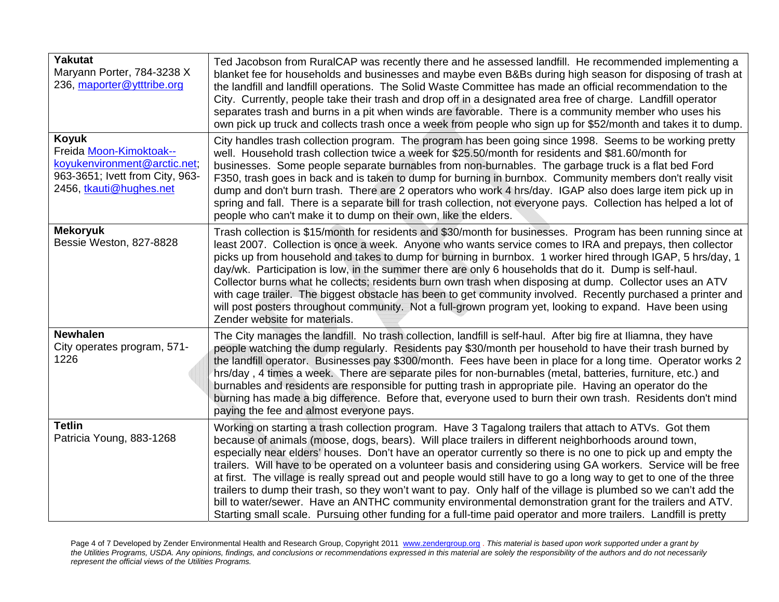| <b>Yakutat</b><br>Maryann Porter, 784-3238 X<br>236, maporter@ytttribe.org                                                     | Ted Jacobson from RuralCAP was recently there and he assessed landfill. He recommended implementing a<br>blanket fee for households and businesses and maybe even B&Bs during high season for disposing of trash at<br>the landfill and landfill operations. The Solid Waste Committee has made an official recommendation to the<br>City. Currently, people take their trash and drop off in a designated area free of charge. Landfill operator<br>separates trash and burns in a pit when winds are favorable. There is a community member who uses his<br>own pick up truck and collects trash once a week from people who sign up for \$52/month and takes it to dump.                                                                                                                                                                                                                                                |
|--------------------------------------------------------------------------------------------------------------------------------|----------------------------------------------------------------------------------------------------------------------------------------------------------------------------------------------------------------------------------------------------------------------------------------------------------------------------------------------------------------------------------------------------------------------------------------------------------------------------------------------------------------------------------------------------------------------------------------------------------------------------------------------------------------------------------------------------------------------------------------------------------------------------------------------------------------------------------------------------------------------------------------------------------------------------|
| Koyuk<br>Freida Moon-Kimoktoak--<br>koyukenvironment@arctic.net;<br>963-3651; Ivett from City, 963-<br>2456, tkauti@hughes.net | City handles trash collection program. The program has been going since 1998. Seems to be working pretty<br>well. Household trash collection twice a week for \$25.50/month for residents and \$81.60/month for<br>businesses. Some people separate burnables from non-burnables. The garbage truck is a flat bed Ford<br>F350, trash goes in back and is taken to dump for burning in burnbox. Community members don't really visit<br>dump and don't burn trash. There are 2 operators who work 4 hrs/day. IGAP also does large item pick up in<br>spring and fall. There is a separate bill for trash collection, not everyone pays. Collection has helped a lot of<br>people who can't make it to dump on their own, like the elders.                                                                                                                                                                                  |
| <b>Mekoryuk</b><br>Bessie Weston, 827-8828                                                                                     | Trash collection is \$15/month for residents and \$30/month for businesses. Program has been running since at<br>least 2007. Collection is once a week. Anyone who wants service comes to IRA and prepays, then collector<br>picks up from household and takes to dump for burning in burnbox. 1 worker hired through IGAP, 5 hrs/day, 1<br>day/wk. Participation is low, in the summer there are only 6 households that do it. Dump is self-haul.<br>Collector burns what he collects; residents burn own trash when disposing at dump. Collector uses an ATV<br>with cage trailer. The biggest obstacle has been to get community involved. Recently purchased a printer and<br>will post posters throughout community. Not a full-grown program yet, looking to expand. Have been using<br>Zender website for materials.                                                                                                |
| <b>Newhalen</b><br>City operates program, 571-<br>1226                                                                         | The City manages the landfill. No trash collection, landfill is self-haul. After big fire at Iliamna, they have<br>people watching the dump regularly. Residents pay \$30/month per household to have their trash burned by<br>the landfill operator. Businesses pay \$300/month. Fees have been in place for a long time. Operator works 2<br>hrs/day, 4 times a week. There are separate piles for non-burnables (metal, batteries, furniture, etc.) and<br>burnables and residents are responsible for putting trash in appropriate pile. Having an operator do the<br>burning has made a big difference. Before that, everyone used to burn their own trash. Residents don't mind<br>paying the fee and almost everyone pays.                                                                                                                                                                                          |
| <b>Tetlin</b><br>Patricia Young, 883-1268                                                                                      | Working on starting a trash collection program. Have 3 Tagalong trailers that attach to ATVs. Got them<br>because of animals (moose, dogs, bears). Will place trailers in different neighborhoods around town,<br>especially near elders' houses. Don't have an operator currently so there is no one to pick up and empty the<br>trailers. Will have to be operated on a volunteer basis and considering using GA workers. Service will be free<br>at first. The village is really spread out and people would still have to go a long way to get to one of the three<br>trailers to dump their trash, so they won't want to pay. Only half of the village is plumbed so we can't add the<br>bill to water/sewer. Have an ANTHC community environmental demonstration grant for the trailers and ATV.<br>Starting small scale. Pursuing other funding for a full-time paid operator and more trailers. Landfill is pretty |

Page 4 of 7 Developed by Zender Environmental Health and Research Group, Copyright 2011 www.zendergroup.org . *This material is based upon work supported under a grant by the Utilities Programs, USDA. Any opinions, findings, and conclusions or recommendations expressed in this material are solely the responsibility of the authors and do not necessarily represent the official views of the Utilities Programs.*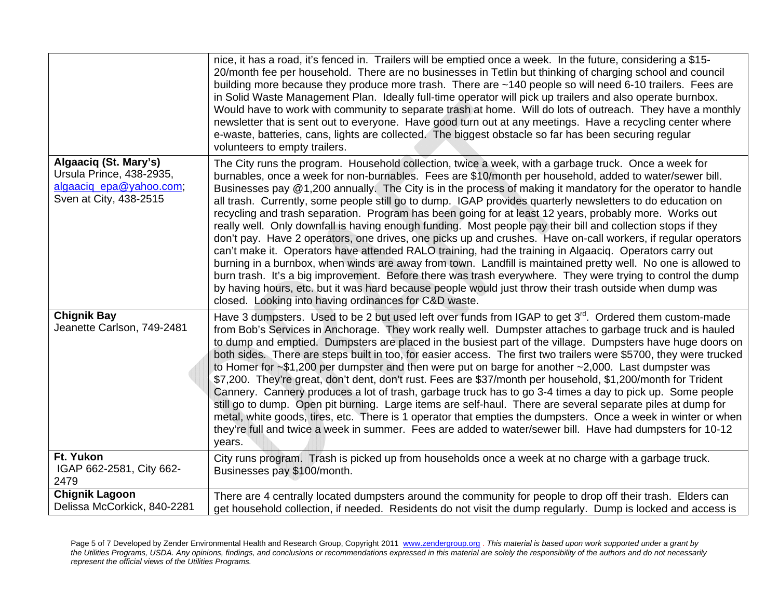|                                                                                                        | nice, it has a road, it's fenced in. Trailers will be emptied once a week. In the future, considering a \$15-<br>20/month fee per household. There are no businesses in Tetlin but thinking of charging school and council<br>building more because they produce more trash. There are ~140 people so will need 6-10 trailers. Fees are<br>in Solid Waste Management Plan. Ideally full-time operator will pick up trailers and also operate burnbox.<br>Would have to work with community to separate trash at home. Will do lots of outreach. They have a monthly<br>newsletter that is sent out to everyone. Have good turn out at any meetings. Have a recycling center where<br>e-waste, batteries, cans, lights are collected. The biggest obstacle so far has been securing regular<br>volunteers to empty trailers.                                                                                                                                                                                                                                                                                                                                                                                                                                                                             |
|--------------------------------------------------------------------------------------------------------|---------------------------------------------------------------------------------------------------------------------------------------------------------------------------------------------------------------------------------------------------------------------------------------------------------------------------------------------------------------------------------------------------------------------------------------------------------------------------------------------------------------------------------------------------------------------------------------------------------------------------------------------------------------------------------------------------------------------------------------------------------------------------------------------------------------------------------------------------------------------------------------------------------------------------------------------------------------------------------------------------------------------------------------------------------------------------------------------------------------------------------------------------------------------------------------------------------------------------------------------------------------------------------------------------------|
| Algaaciq (St. Mary's)<br>Ursula Prince, 438-2935,<br>algaaciq_epa@yahoo.com;<br>Sven at City, 438-2515 | The City runs the program. Household collection, twice a week, with a garbage truck. Once a week for<br>burnables, once a week for non-burnables. Fees are \$10/month per household, added to water/sewer bill.<br>Businesses pay @1,200 annually. The City is in the process of making it mandatory for the operator to handle<br>all trash. Currently, some people still go to dump. IGAP provides quarterly newsletters to do education on<br>recycling and trash separation. Program has been going for at least 12 years, probably more. Works out<br>really well. Only downfall is having enough funding. Most people pay their bill and collection stops if they<br>don't pay. Have 2 operators, one drives, one picks up and crushes. Have on-call workers, if regular operators<br>can't make it. Operators have attended RALO training, had the training in Algaaciq. Operators carry out<br>burning in a burnbox, when winds are away from town. Landfill is maintained pretty well. No one is allowed to<br>burn trash. It's a big improvement. Before there was trash everywhere. They were trying to control the dump<br>by having hours, etc. but it was hard because people would just throw their trash outside when dump was<br>closed. Looking into having ordinances for C&D waste. |
| <b>Chignik Bay</b><br>Jeanette Carlson, 749-2481                                                       | Have 3 dumpsters. Used to be 2 but used left over funds from IGAP to get 3 <sup>rd</sup> . Ordered them custom-made<br>from Bob's Services in Anchorage. They work really well. Dumpster attaches to garbage truck and is hauled<br>to dump and emptied. Dumpsters are placed in the busiest part of the village. Dumpsters have huge doors on<br>both sides. There are steps built in too, for easier access. The first two trailers were \$5700, they were trucked<br>to Homer for $\sim $1,200$ per dumpster and then were put on barge for another $\sim 2,000$ . Last dumpster was<br>\$7,200. They're great, don't dent, don't rust. Fees are \$37/month per household, \$1,200/month for Trident<br>Cannery. Cannery produces a lot of trash, garbage truck has to go 3-4 times a day to pick up. Some people<br>still go to dump. Open pit burning. Large items are self-haul. There are several separate piles at dump for<br>metal, white goods, tires, etc. There is 1 operator that empties the dumpsters. Once a week in winter or when<br>they're full and twice a week in summer. Fees are added to water/sewer bill. Have had dumpsters for 10-12<br>years.                                                                                                                             |
| Ft. Yukon<br>IGAP 662-2581, City 662-<br>2479                                                          | City runs program. Trash is picked up from households once a week at no charge with a garbage truck.<br>Businesses pay \$100/month.                                                                                                                                                                                                                                                                                                                                                                                                                                                                                                                                                                                                                                                                                                                                                                                                                                                                                                                                                                                                                                                                                                                                                                     |
| <b>Chignik Lagoon</b><br>Delissa McCorkick, 840-2281                                                   | There are 4 centrally located dumpsters around the community for people to drop off their trash. Elders can<br>get household collection, if needed. Residents do not visit the dump regularly. Dump is locked and access is                                                                                                                                                                                                                                                                                                                                                                                                                                                                                                                                                                                                                                                                                                                                                                                                                                                                                                                                                                                                                                                                             |

Page 5 of 7 Developed by Zender Environmental Health and Research Group, Copyright 2011 www.zendergroup.org . *This material is based upon work supported under a grant by the Utilities Programs, USDA. Any opinions, findings, and conclusions or recommendations expressed in this material are solely the responsibility of the authors and do not necessarily represent the official views of the Utilities Programs.*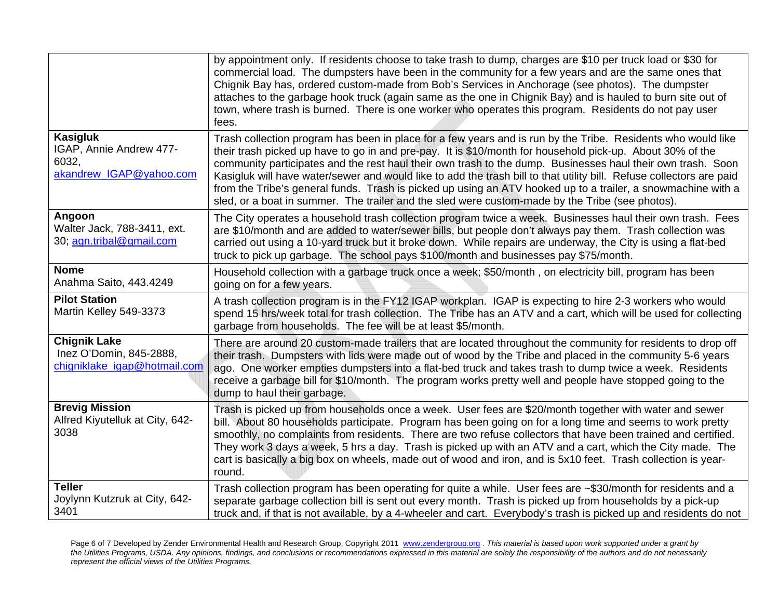|                                                                                | by appointment only. If residents choose to take trash to dump, charges are \$10 per truck load or \$30 for<br>commercial load. The dumpsters have been in the community for a few years and are the same ones that<br>Chignik Bay has, ordered custom-made from Bob's Services in Anchorage (see photos). The dumpster<br>attaches to the garbage hook truck (again same as the one in Chignik Bay) and is hauled to burn site out of<br>town, where trash is burned. There is one worker who operates this program. Residents do not pay user<br>fees.                                                                                                                            |
|--------------------------------------------------------------------------------|-------------------------------------------------------------------------------------------------------------------------------------------------------------------------------------------------------------------------------------------------------------------------------------------------------------------------------------------------------------------------------------------------------------------------------------------------------------------------------------------------------------------------------------------------------------------------------------------------------------------------------------------------------------------------------------|
| <b>Kasigluk</b><br>IGAP, Annie Andrew 477-<br>6032,<br>akandrew IGAP@yahoo.com | Trash collection program has been in place for a few years and is run by the Tribe. Residents who would like<br>their trash picked up have to go in and pre-pay. It is \$10/month for household pick-up. About 30% of the<br>community participates and the rest haul their own trash to the dump. Businesses haul their own trash. Soon<br>Kasigluk will have water/sewer and would like to add the trash bill to that utility bill. Refuse collectors are paid<br>from the Tribe's general funds. Trash is picked up using an ATV hooked up to a trailer, a snowmachine with a<br>sled, or a boat in summer. The trailer and the sled were custom-made by the Tribe (see photos). |
| Angoon<br>Walter Jack, 788-3411, ext.<br>30; agn.tribal@gmail.com              | The City operates a household trash collection program twice a week. Businesses haul their own trash. Fees<br>are \$10/month and are added to water/sewer bills, but people don't always pay them. Trash collection was<br>carried out using a 10-yard truck but it broke down. While repairs are underway, the City is using a flat-bed<br>truck to pick up garbage. The school pays \$100/month and businesses pay \$75/month.                                                                                                                                                                                                                                                    |
| <b>Nome</b><br>Anahma Saito, 443.4249                                          | Household collection with a garbage truck once a week; \$50/month, on electricity bill, program has been<br>going on for a few years.                                                                                                                                                                                                                                                                                                                                                                                                                                                                                                                                               |
| <b>Pilot Station</b><br>Martin Kelley 549-3373                                 | A trash collection program is in the FY12 IGAP workplan. IGAP is expecting to hire 2-3 workers who would<br>spend 15 hrs/week total for trash collection. The Tribe has an ATV and a cart, which will be used for collecting<br>garbage from households. The fee will be at least \$5/month.                                                                                                                                                                                                                                                                                                                                                                                        |
| <b>Chignik Lake</b><br>Inez O'Domin, 845-2888,<br>chigniklake igap@hotmail.com | There are around 20 custom-made trailers that are located throughout the community for residents to drop off<br>their trash. Dumpsters with lids were made out of wood by the Tribe and placed in the community 5-6 years<br>ago. One worker empties dumpsters into a flat-bed truck and takes trash to dump twice a week. Residents<br>receive a garbage bill for \$10/month. The program works pretty well and people have stopped going to the<br>dump to haul their garbage.                                                                                                                                                                                                    |
| <b>Brevig Mission</b><br>Alfred Kiyutelluk at City, 642-<br>3038               | Trash is picked up from households once a week. User fees are \$20/month together with water and sewer<br>bill. About 80 households participate. Program has been going on for a long time and seems to work pretty<br>smoothly, no complaints from residents. There are two refuse collectors that have been trained and certified.<br>They work 3 days a week, 5 hrs a day. Trash is picked up with an ATV and a cart, which the City made. The<br>cart is basically a big box on wheels, made out of wood and iron, and is 5x10 feet. Trash collection is year-<br>round.                                                                                                        |
| <b>Teller</b><br>Joylynn Kutzruk at City, 642-<br>3401                         | Trash collection program has been operating for quite a while. User fees are ~\$30/month for residents and a<br>separate garbage collection bill is sent out every month. Trash is picked up from households by a pick-up<br>truck and, if that is not available, by a 4-wheeler and cart. Everybody's trash is picked up and residents do not                                                                                                                                                                                                                                                                                                                                      |

Page 6 of 7 Developed by Zender Environmental Health and Research Group, Copyright 2011 www.zendergroup.org . *This material is based upon work supported under a grant by the Utilities Programs, USDA. Any opinions, findings, and conclusions or recommendations expressed in this material are solely the responsibility of the authors and do not necessarily represent the official views of the Utilities Programs.*